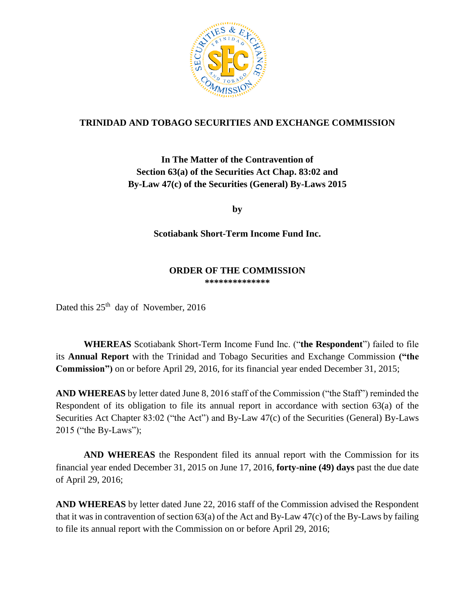

## **TRINIDAD AND TOBAGO SECURITIES AND EXCHANGE COMMISSION**

# **In The Matter of the Contravention of Section 63(a) of the Securities Act Chap. 83:02 and By-Law 47(c) of the Securities (General) By-Laws 2015**

**by**

### **Scotiabank Short-Term Income Fund Inc.**

#### **ORDER OF THE COMMISSION \*\*\*\*\*\*\*\*\*\*\*\*\*\***

Dated this 25<sup>th</sup> day of November, 2016

**WHEREAS** Scotiabank Short-Term Income Fund Inc. ("**the Respondent**") failed to file its **Annual Report** with the Trinidad and Tobago Securities and Exchange Commission **("the Commission")** on or before April 29, 2016, for its financial year ended December 31, 2015;

**AND WHEREAS** by letter dated June 8, 2016 staff of the Commission ("the Staff") reminded the Respondent of its obligation to file its annual report in accordance with section 63(a) of the Securities Act Chapter 83:02 ("the Act") and By-Law 47(c) of the Securities (General) By-Laws 2015 ("the By-Laws");

**AND WHEREAS** the Respondent filed its annual report with the Commission for its financial year ended December 31, 2015 on June 17, 2016, **forty-nine (49) days** past the due date of April 29, 2016;

**AND WHEREAS** by letter dated June 22, 2016 staff of the Commission advised the Respondent that it was in contravention of section 63(a) of the Act and By-Law 47(c) of the By-Laws by failing to file its annual report with the Commission on or before April 29, 2016;